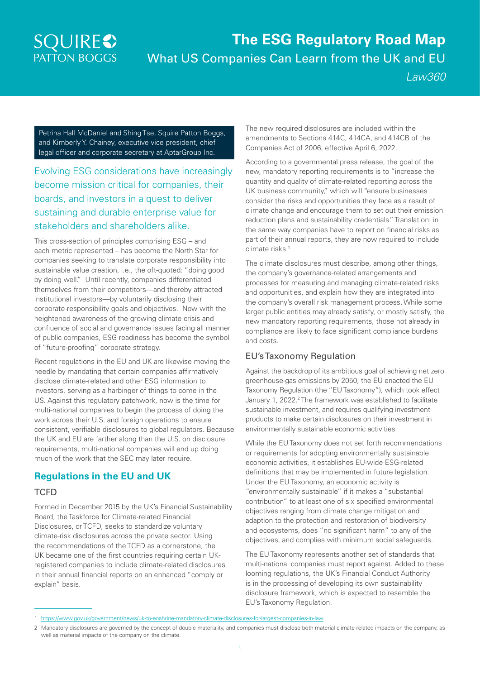# **SQUIRES PATTON BOGGS**

# **The ESG Regulatory Road Map**  What US Companies Can Learn from the UK and EU *Law360*

Petrina Hall McDaniel and Shing Tse, Squire Patton Boggs, and Kimberly Y. Chainey, executive vice president, chief legal officer and corporate secretary at [AptarGroup Inc](https://www.law360.com/companies/aptargroup-inc).

Evolving ESG considerations have increasingly become mission critical for companies, their boards, and investors in a quest to deliver sustaining and durable enterprise value for stakeholders and shareholders alike.

This cross-section of principles comprising ESG – and each metric represented – has become the North Star for companies seeking to translate corporate responsibility into sustainable value creation, i.e., the oft-quoted: "doing good by doing well." Until recently, companies differentiated themselves from their competitors—and thereby attracted institutional investors—by voluntarily disclosing their corporate-responsibility goals and objectives. Now with the heightened awareness of the growing climate crisis and confluence of social and governance issues facing all manner of public companies, ESG readiness has become the symbol of "future-proofing" corporate strategy.

Recent regulations in the EU and UK are likewise moving the needle by mandating that certain companies affirmatively disclose climate-related and other ESG information to investors, serving as a harbinger of things to come in the US. Against this regulatory patchwork, now is the time for multi-national companies to begin the process of doing the work across their U.S. and foreign operations to ensure consistent, verifiable disclosures to global regulators. Because the UK and EU are farther along than the U.S. on disclosure requirements, multi-national companies will end up doing much of the work that the SEC may later require.

### **Regulations in the EU and UK**

#### **TCFD**

Formed in December 2015 by the UK's Financial Sustainability Board, the Taskforce for Climate-related Financial Disclosures, or TCFD, seeks to standardize voluntary climate-risk disclosures across the private sector. Using the recommendations of the TCFD as a cornerstone, the UK became one of the first countries requiring certain UKregistered companies to include climate-related disclosures in their annual financial reports on an enhanced "comply or explain" basis.

The new required disclosures are included within the amendments to Sections 414C, 414CA, and 414CB of the Companies Act of 2006, effective April 6, 2022.

According to a governmental press release, the goal of the new, mandatory reporting requirements is to "increase the quantity and quality of climate-related reporting across the UK business community," which will "ensure businesses consider the risks and opportunities they face as a result of climate change and encourage them to set out their emission reduction plans and sustainability credentials." Translation: in the same way companies have to report on financial risks as part of their annual reports, they are now required to include climate risks.1

The climate disclosures must describe, among other things, the company's governance-related arrangements and processes for measuring and managing climate-related risks and opportunities, and explain how they are integrated into the company's overall risk management process. While some larger public entities may already satisfy, or mostly satisfy, the new mandatory reporting requirements, those not already in compliance are likely to face significant compliance burdens and costs.

#### EU's Taxonomy Regulation

Against the backdrop of its ambitious goal of achieving net zero greenhouse-gas emissions by 2050, the EU enacted the EU Taxonomy Regulation (the "EU Taxonomy"), which took effect January 1, 2022.<sup>2</sup> The framework was established to facilitate sustainable investment, and requires qualifying investment products to make certain disclosures on their investment in environmentally sustainable economic activities.

While the EU Taxonomy does not set forth recommendations or requirements for adopting environmentally sustainable economic activities, it establishes EU-wide ESG-related definitions that may be implemented in future legislation. Under the EU Taxonomy, an economic activity is "environmentally sustainable" if it makes a "substantial contribution" to at least one of six specified environmental objectives ranging from climate change mitigation and adaption to the protection and restoration of biodiversity and ecosystems, does "no significant harm" to any of the objectives, and complies with minimum social safeguards.

The EU Taxonomy represents another set of standards that multi-national companies must report against. Added to these looming regulations, the UK's Financial Conduct Authority is in the processing of developing its own sustainability disclosure framework, which is expected to resemble the EU's Taxonomy Regulation.

<sup>1</sup> https://www.gov.uk/government/news/uk-to-enshrine-mandatory-climate-disclosures-for-largest-companies-in-law

<sup>2</sup> Mandatory disclosures are governed by the concept of double materiality, and companies must disclose both material climate-related impacts on the company, as well as material impacts of the company on the climate.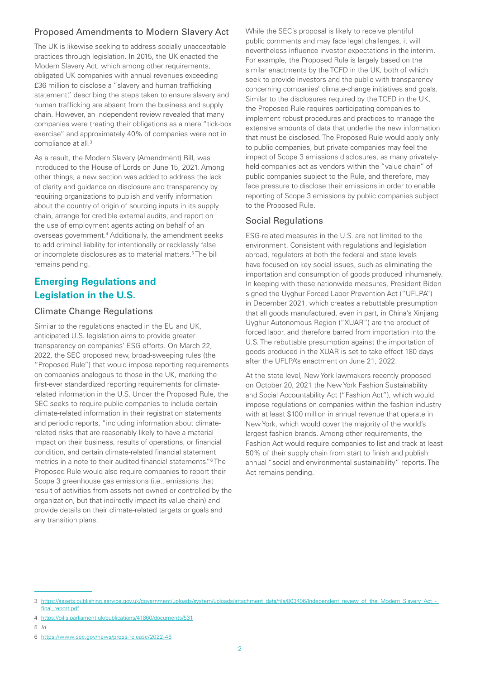#### Proposed Amendments to Modern Slavery Act

The UK is likewise seeking to address socially unacceptable practices through legislation. In 2015, the UK enacted the Modern Slavery Act, which among other requirements, obligated UK companies with annual revenues exceeding £36 million to disclose a "slavery and human trafficking statement," describing the steps taken to ensure slavery and human trafficking are absent from the business and supply chain. However, an independent review revealed that many companies were treating their obligations as a mere "tick-box exercise" and approximately 40% of companies were not in compliance at all.<sup>3</sup>

As a result, the Modern Slavery (Amendment) Bill, was introduced to the House of Lords on June 15, 2021. Among other things, a new section was added to address the lack of clarity and guidance on disclosure and transparency by requiring organizations to publish and verify information about the country of origin of sourcing inputs in its supply chain, arrange for credible external audits, and report on the use of employment agents acting on behalf of an overseas government.<sup>4</sup> Additionally, the amendment seeks to add criminal liability for intentionally or recklessly false or incomplete disclosures as to material matters.<sup>5</sup>The bill remains pending.

## **Emerging Regulations and Legislation in the U.S.**

#### Climate Change Regulations

Similar to the regulations enacted in the EU and UK, anticipated U.S. legislation aims to provide greater transparency on companies' ESG efforts. On March 22, 2022, the SEC proposed new, broad-sweeping rules (the "Proposed Rule") that would impose reporting requirements on companies analogous to those in the UK, marking the first-ever standardized reporting requirements for climaterelated information in the U.S. Under the Proposed Rule, the SEC seeks to require public companies to include certain climate-related information in their registration statements and periodic reports, "including information about climaterelated risks that are reasonably likely to have a material impact on their business, results of operations, or financial condition, and certain climate-related financial statement metrics in a note to their audited financial statements."<sup>6</sup>The Proposed Rule would also require companies to report their Scope 3 greenhouse gas emissions (i.e., emissions that result of activities from assets not owned or controlled by the organization, but that indirectly impact its value chain) and provide details on their climate-related targets or goals and any transition plans.

While the SEC's proposal is likely to receive plentiful public comments and may face legal challenges, it will nevertheless influence investor expectations in the interim. For example, the Proposed Rule is largely based on the similar enactments by the TCFD in the UK, both of which seek to provide investors and the public with transparency concerning companies' climate-change initiatives and goals. Similar to the disclosures required by the TCFD in the UK, the Proposed Rule requires participating companies to implement robust procedures and practices to manage the extensive amounts of data that underlie the new information that must be disclosed. The Proposed Rule would apply only to public companies, but private companies may feel the impact of Scope 3 emissions disclosures, as many privatelyheld companies act as vendors within the "value chain" of public companies subject to the Rule, and therefore, may face pressure to disclose their emissions in order to enable reporting of Scope 3 emissions by public companies subject to the Proposed Rule.

#### Social Regulations

ESG-related measures in the U.S. are not limited to the environment. Consistent with regulations and legislation abroad, regulators at both the federal and state levels have focused on key social issues, such as eliminating the importation and consumption of goods produced inhumanely. In keeping with these nationwide measures, President Biden signed the Uyghur Forced Labor Prevention Act ("UFLPA") in December 2021, which creates a rebuttable presumption that all goods manufactured, even in part, in China's Xinjiang Uyghur Autonomous Region ("XUAR") are the product of forced labor, and therefore barred from importation into the U.S. The rebuttable presumption against the importation of goods produced in the XUAR is set to take effect 180 days after the UFLPA's enactment on June 21, 2022.

At the state level, New York lawmakers recently proposed on October 20, 2021 the New York Fashion Sustainability and Social Accountability Act ("Fashion Act"), which would impose regulations on companies within the fashion industry with at least \$100 million in annual revenue that operate in New York, which would cover the majority of the world's largest fashion brands. Among other requirements, the Fashion Act would require companies to list and track at least 50% of their supply chain from start to finish and publish annual "social and environmental sustainability" reports. The Act remains pending.

5 *Id.*

<sup>3</sup> https://assets.publishing.service.gov.uk/government/uploads/system/uploads/attachment\_data/file/803406/Independent\_review\_of\_the\_Modern\_Slavery\_Act\_final\_report.pdf

<sup>4</sup> https://bills.parliament.uk/publications/41860/documents/531

<sup>6</sup> https://www.sec.gov/news/press-release/2022-46